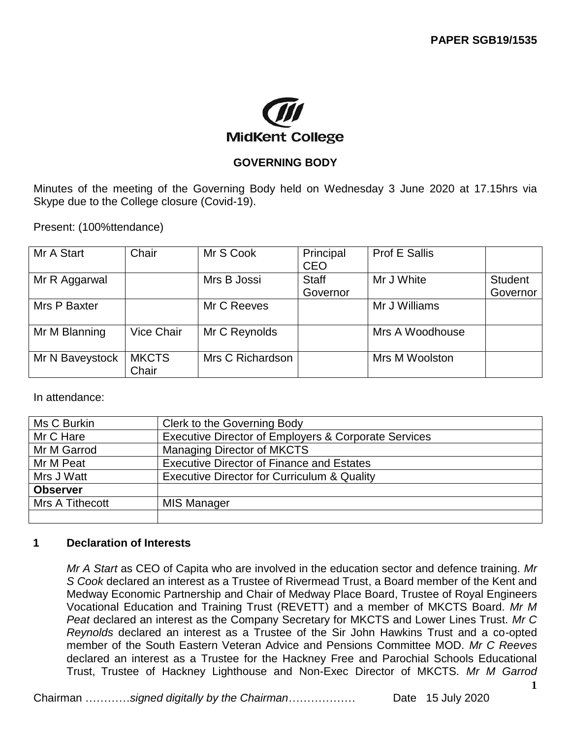

# **GOVERNING BODY**

Minutes of the meeting of the Governing Body held on Wednesday 3 June 2020 at 17.15hrs via Skype due to the College closure (Covid-19).

Present: (100%ttendance)

| Mr A Start      | Chair                 | Mr S Cook        | Principal<br><b>CEO</b>  | <b>Prof E Sallis</b> |                            |
|-----------------|-----------------------|------------------|--------------------------|----------------------|----------------------------|
| Mr R Aggarwal   |                       | Mrs B Jossi      | <b>Staff</b><br>Governor | Mr J White           | <b>Student</b><br>Governor |
| Mrs P Baxter    |                       | Mr C Reeves      |                          | Mr J Williams        |                            |
| Mr M Blanning   | <b>Vice Chair</b>     | Mr C Reynolds    |                          | Mrs A Woodhouse      |                            |
| Mr N Baveystock | <b>MKCTS</b><br>Chair | Mrs C Richardson |                          | Mrs M Woolston       |                            |

In attendance:

| Ms C Burkin     | Clerk to the Governing Body                          |  |  |
|-----------------|------------------------------------------------------|--|--|
| Mr C Hare       | Executive Director of Employers & Corporate Services |  |  |
| Mr M Garrod     | <b>Managing Director of MKCTS</b>                    |  |  |
| Mr M Peat       | <b>Executive Director of Finance and Estates</b>     |  |  |
| Mrs J Watt      | Executive Director for Curriculum & Quality          |  |  |
| <b>Observer</b> |                                                      |  |  |
| Mrs A Tithecott | <b>MIS Manager</b>                                   |  |  |
|                 |                                                      |  |  |

# **1 Declaration of Interests**

*Mr A Start* as CEO of Capita who are involved in the education sector and defence training. *Mr S Cook* declared an interest as a Trustee of Rivermead Trust, a Board member of the Kent and Medway Economic Partnership and Chair of Medway Place Board, Trustee of Royal Engineers Vocational Education and Training Trust (REVETT) and a member of MKCTS Board. *Mr M Peat* declared an interest as the Company Secretary for MKCTS and Lower Lines Trust. *Mr C Reynolds* declared an interest as a Trustee of the Sir John Hawkins Trust and a co-opted member of the South Eastern Veteran Advice and Pensions Committee MOD. *Mr C Reeves* declared an interest as a Trustee for the Hackney Free and Parochial Schools Educational Trust, Trustee of Hackney Lighthouse and Non-Exec Director of MKCTS. *Mr M Garrod*

Chairman …………*signed digitally by the Chairman*……………… Date 15 July 2020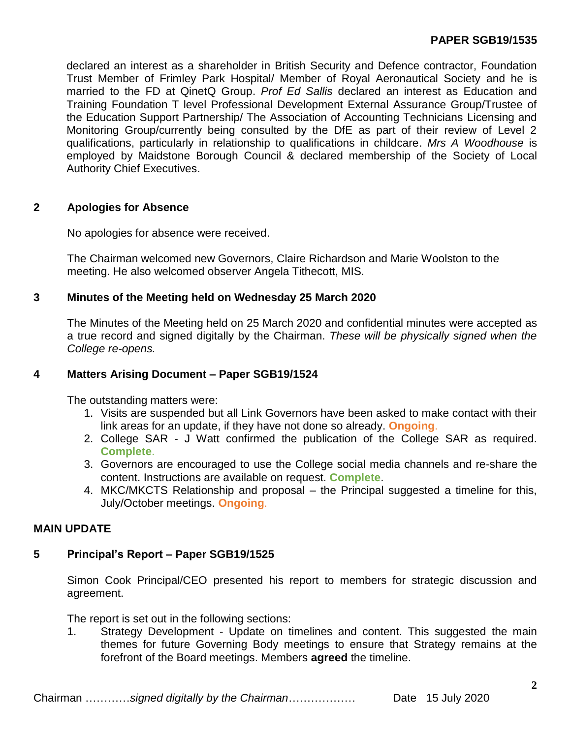declared an interest as a shareholder in British Security and Defence contractor, Foundation Trust Member of Frimley Park Hospital/ Member of Royal Aeronautical Society and he is married to the FD at QinetQ Group. *Prof Ed Sallis* declared an interest as Education and Training Foundation T level Professional Development External Assurance Group/Trustee of the Education Support Partnership/ The Association of Accounting Technicians Licensing and Monitoring Group/currently being consulted by the DfE as part of their review of Level 2 qualifications, particularly in relationship to qualifications in childcare. *Mrs A Woodhouse* is employed by Maidstone Borough Council & declared membership of the Society of Local Authority Chief Executives.

# **2 Apologies for Absence**

No apologies for absence were received.

The Chairman welcomed new Governors, Claire Richardson and Marie Woolston to the meeting. He also welcomed observer Angela Tithecott, MIS.

# **3 Minutes of the Meeting held on Wednesday 25 March 2020**

The Minutes of the Meeting held on 25 March 2020 and confidential minutes were accepted as a true record and signed digitally by the Chairman. *These will be physically signed when the College re-opens.*

# **4 Matters Arising Document – Paper SGB19/1524**

The outstanding matters were:

- 1. Visits are suspended but all Link Governors have been asked to make contact with their link areas for an update, if they have not done so already. **Ongoing**.
- 2. College SAR J Watt confirmed the publication of the College SAR as required. **Complete**.
- 3. Governors are encouraged to use the College social media channels and re-share the content. Instructions are available on request. **Complete**.
- 4. MKC/MKCTS Relationship and proposal the Principal suggested a timeline for this, July/October meetings. **Ongoing**.

# **MAIN UPDATE**

# **5 Principal's Report – Paper SGB19/1525**

Simon Cook Principal/CEO presented his report to members for strategic discussion and agreement.

The report is set out in the following sections:

1. Strategy Development - Update on timelines and content. This suggested the main themes for future Governing Body meetings to ensure that Strategy remains at the forefront of the Board meetings. Members **agreed** the timeline.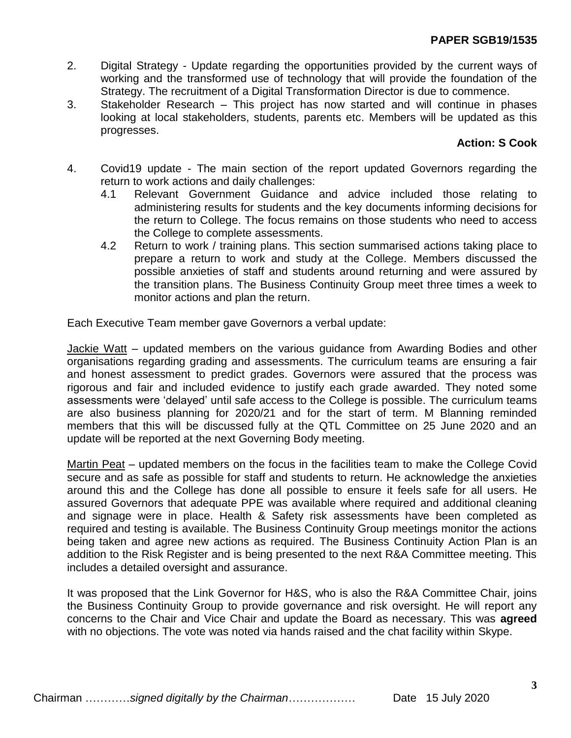- 2. Digital Strategy Update regarding the opportunities provided by the current ways of working and the transformed use of technology that will provide the foundation of the Strategy. The recruitment of a Digital Transformation Director is due to commence.
- 3. Stakeholder Research This project has now started and will continue in phases looking at local stakeholders, students, parents etc. Members will be updated as this progresses.

# **Action: S Cook**

- 4. Covid19 update The main section of the report updated Governors regarding the return to work actions and daily challenges:
	- 4.1 Relevant Government Guidance and advice included those relating to administering results for students and the key documents informing decisions for the return to College. The focus remains on those students who need to access the College to complete assessments.
	- 4.2 Return to work / training plans. This section summarised actions taking place to prepare a return to work and study at the College. Members discussed the possible anxieties of staff and students around returning and were assured by the transition plans. The Business Continuity Group meet three times a week to monitor actions and plan the return.

Each Executive Team member gave Governors a verbal update:

Jackie Watt - updated members on the various guidance from Awarding Bodies and other organisations regarding grading and assessments. The curriculum teams are ensuring a fair and honest assessment to predict grades. Governors were assured that the process was rigorous and fair and included evidence to justify each grade awarded. They noted some assessments were 'delayed' until safe access to the College is possible. The curriculum teams are also business planning for 2020/21 and for the start of term. M Blanning reminded members that this will be discussed fully at the QTL Committee on 25 June 2020 and an update will be reported at the next Governing Body meeting.

Martin Peat – updated members on the focus in the facilities team to make the College Covid secure and as safe as possible for staff and students to return. He acknowledge the anxieties around this and the College has done all possible to ensure it feels safe for all users. He assured Governors that adequate PPE was available where required and additional cleaning and signage were in place. Health & Safety risk assessments have been completed as required and testing is available. The Business Continuity Group meetings monitor the actions being taken and agree new actions as required. The Business Continuity Action Plan is an addition to the Risk Register and is being presented to the next R&A Committee meeting. This includes a detailed oversight and assurance.

It was proposed that the Link Governor for H&S, who is also the R&A Committee Chair, joins the Business Continuity Group to provide governance and risk oversight. He will report any concerns to the Chair and Vice Chair and update the Board as necessary. This was **agreed** with no objections. The vote was noted via hands raised and the chat facility within Skype.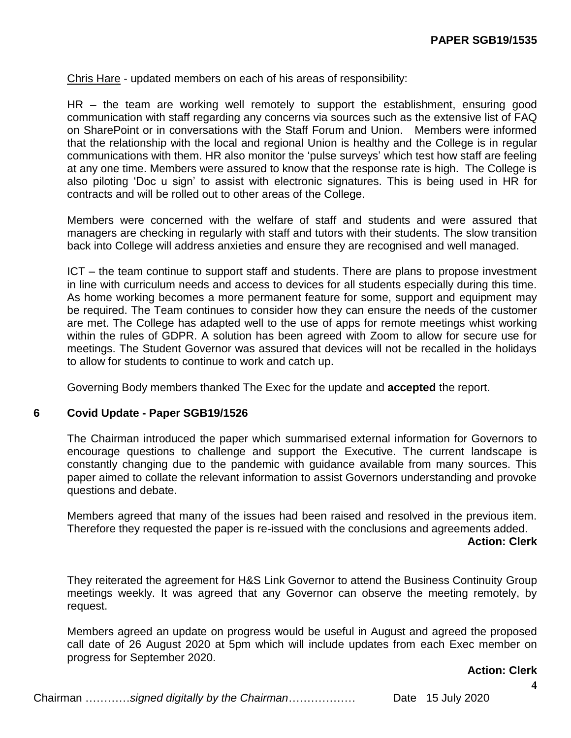Chris Hare - updated members on each of his areas of responsibility:

HR – the team are working well remotely to support the establishment, ensuring good communication with staff regarding any concerns via sources such as the extensive list of FAQ on SharePoint or in conversations with the Staff Forum and Union. Members were informed that the relationship with the local and regional Union is healthy and the College is in regular communications with them. HR also monitor the 'pulse surveys' which test how staff are feeling at any one time. Members were assured to know that the response rate is high. The College is also piloting 'Doc u sign' to assist with electronic signatures. This is being used in HR for contracts and will be rolled out to other areas of the College.

Members were concerned with the welfare of staff and students and were assured that managers are checking in regularly with staff and tutors with their students. The slow transition back into College will address anxieties and ensure they are recognised and well managed.

ICT – the team continue to support staff and students. There are plans to propose investment in line with curriculum needs and access to devices for all students especially during this time. As home working becomes a more permanent feature for some, support and equipment may be required. The Team continues to consider how they can ensure the needs of the customer are met. The College has adapted well to the use of apps for remote meetings whist working within the rules of GDPR. A solution has been agreed with Zoom to allow for secure use for meetings. The Student Governor was assured that devices will not be recalled in the holidays to allow for students to continue to work and catch up.

Governing Body members thanked The Exec for the update and **accepted** the report.

#### **6 Covid Update - Paper SGB19/1526**

The Chairman introduced the paper which summarised external information for Governors to encourage questions to challenge and support the Executive. The current landscape is constantly changing due to the pandemic with guidance available from many sources. This paper aimed to collate the relevant information to assist Governors understanding and provoke questions and debate.

Members agreed that many of the issues had been raised and resolved in the previous item. Therefore they requested the paper is re-issued with the conclusions and agreements added.

#### **Action: Clerk**

They reiterated the agreement for H&S Link Governor to attend the Business Continuity Group meetings weekly. It was agreed that any Governor can observe the meeting remotely, by request.

Members agreed an update on progress would be useful in August and agreed the proposed call date of 26 August 2020 at 5pm which will include updates from each Exec member on progress for September 2020.

**Action: Clerk**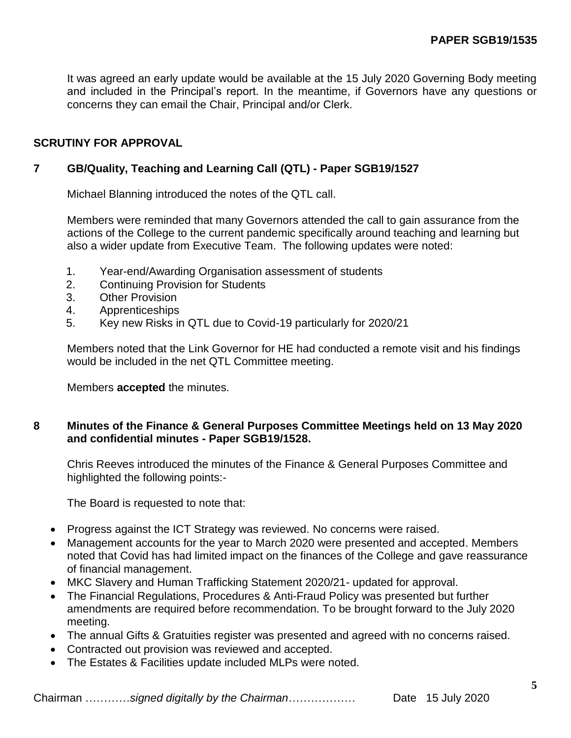It was agreed an early update would be available at the 15 July 2020 Governing Body meeting and included in the Principal's report. In the meantime, if Governors have any questions or concerns they can email the Chair, Principal and/or Clerk.

# **SCRUTINY FOR APPROVAL**

# **7 GB/Quality, Teaching and Learning Call (QTL) - Paper SGB19/1527**

Michael Blanning introduced the notes of the QTL call.

Members were reminded that many Governors attended the call to gain assurance from the actions of the College to the current pandemic specifically around teaching and learning but also a wider update from Executive Team. The following updates were noted:

- 1. Year-end/Awarding Organisation assessment of students
- 2. Continuing Provision for Students
- 3. Other Provision
- 4. Apprenticeships
- 5. Key new Risks in QTL due to Covid-19 particularly for 2020/21

Members noted that the Link Governor for HE had conducted a remote visit and his findings would be included in the net QTL Committee meeting.

Members **accepted** the minutes.

# **8 Minutes of the Finance & General Purposes Committee Meetings held on 13 May 2020 and confidential minutes - Paper SGB19/1528.**

Chris Reeves introduced the minutes of the Finance & General Purposes Committee and highlighted the following points:-

The Board is requested to note that:

- Progress against the ICT Strategy was reviewed. No concerns were raised.
- Management accounts for the year to March 2020 were presented and accepted. Members noted that Covid has had limited impact on the finances of the College and gave reassurance of financial management.
- MKC Slavery and Human Trafficking Statement 2020/21- updated for approval.
- The Financial Regulations, Procedures & Anti-Fraud Policy was presented but further amendments are required before recommendation. To be brought forward to the July 2020 meeting.
- The annual Gifts & Gratuities register was presented and agreed with no concerns raised.
- Contracted out provision was reviewed and accepted.
- The Estates & Facilities update included MLPs were noted.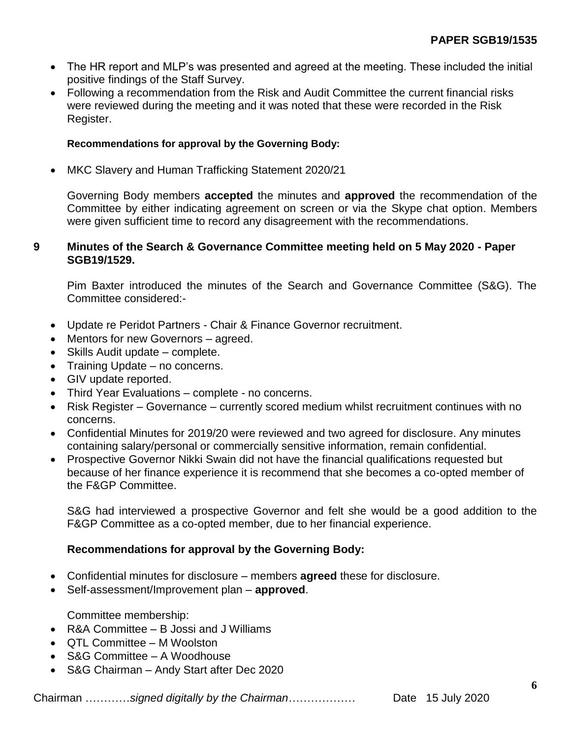- The HR report and MLP's was presented and agreed at the meeting. These included the initial positive findings of the Staff Survey.
- Following a recommendation from the Risk and Audit Committee the current financial risks were reviewed during the meeting and it was noted that these were recorded in the Risk Register.

# **Recommendations for approval by the Governing Body:**

MKC Slavery and Human Trafficking Statement 2020/21

Governing Body members **accepted** the minutes and **approved** the recommendation of the Committee by either indicating agreement on screen or via the Skype chat option. Members were given sufficient time to record any disagreement with the recommendations.

### **9 Minutes of the Search & Governance Committee meeting held on 5 May 2020 - Paper SGB19/1529.**

Pim Baxter introduced the minutes of the Search and Governance Committee (S&G). The Committee considered:-

- Update re Peridot Partners Chair & Finance Governor recruitment.
- Mentors for new Governors agreed.
- Skills Audit update complete.
- Training Update no concerns.
- GIV update reported.
- Third Year Evaluations complete no concerns.
- Risk Register Governance currently scored medium whilst recruitment continues with no concerns.
- Confidential Minutes for 2019/20 were reviewed and two agreed for disclosure. Any minutes containing salary/personal or commercially sensitive information, remain confidential.
- Prospective Governor Nikki Swain did not have the financial qualifications requested but because of her finance experience it is recommend that she becomes a co-opted member of the F&GP Committee.

S&G had interviewed a prospective Governor and felt she would be a good addition to the F&GP Committee as a co-opted member, due to her financial experience.

# **Recommendations for approval by the Governing Body:**

- Confidential minutes for disclosure members **agreed** these for disclosure.
- Self-assessment/Improvement plan **approved**.

Committee membership:

- R&A Committee B Jossi and J Williams
- OTL Committee M Woolston
- S&G Committee A Woodhouse
- S&G Chairman Andy Start after Dec 2020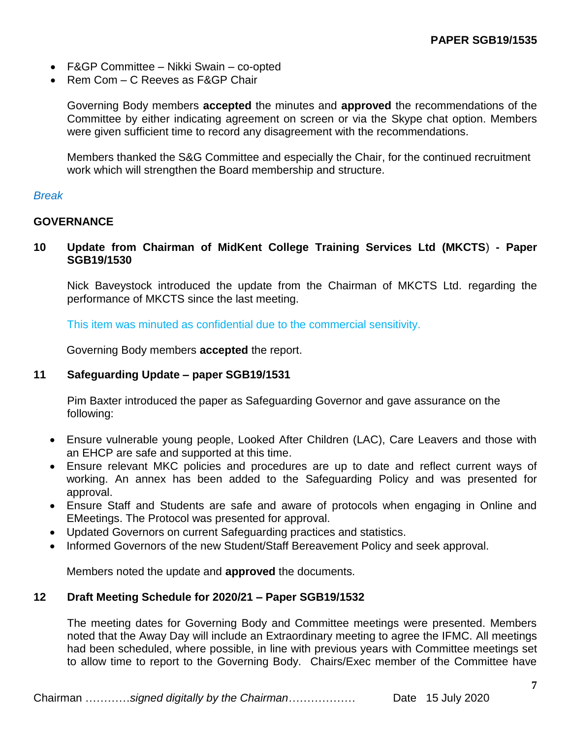- F&GP Committee Nikki Swain co-opted
- Rem Com C Reeves as F&GP Chair

Governing Body members **accepted** the minutes and **approved** the recommendations of the Committee by either indicating agreement on screen or via the Skype chat option. Members were given sufficient time to record any disagreement with the recommendations.

Members thanked the S&G Committee and especially the Chair, for the continued recruitment work which will strengthen the Board membership and structure.

#### *Break*

### **GOVERNANCE**

**10 Update from Chairman of MidKent College Training Services Ltd (MKCTS**) **- Paper SGB19/1530**

Nick Baveystock introduced the update from the Chairman of MKCTS Ltd. regarding the performance of MKCTS since the last meeting.

This item was minuted as confidential due to the commercial sensitivity.

Governing Body members **accepted** the report.

#### **11 Safeguarding Update – paper SGB19/1531**

Pim Baxter introduced the paper as Safeguarding Governor and gave assurance on the following:

- Ensure vulnerable young people, Looked After Children (LAC), Care Leavers and those with an EHCP are safe and supported at this time.
- Ensure relevant MKC policies and procedures are up to date and reflect current ways of working. An annex has been added to the Safeguarding Policy and was presented for approval.
- Ensure Staff and Students are safe and aware of protocols when engaging in Online and EMeetings. The Protocol was presented for approval.
- Updated Governors on current Safeguarding practices and statistics.
- Informed Governors of the new Student/Staff Bereavement Policy and seek approval.

Members noted the update and **approved** the documents.

# **12 Draft Meeting Schedule for 2020/21 – Paper SGB19/1532**

The meeting dates for Governing Body and Committee meetings were presented. Members noted that the Away Day will include an Extraordinary meeting to agree the IFMC. All meetings had been scheduled, where possible, in line with previous years with Committee meetings set to allow time to report to the Governing Body. Chairs/Exec member of the Committee have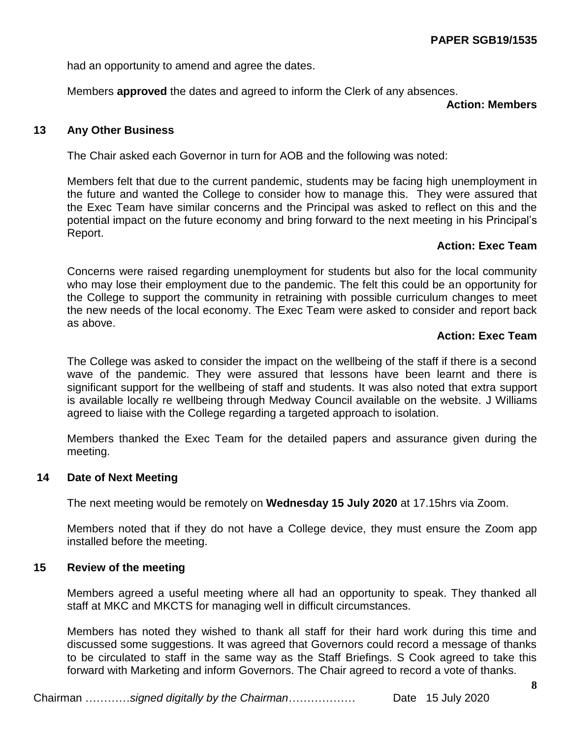had an opportunity to amend and agree the dates.

Members **approved** the dates and agreed to inform the Clerk of any absences.

#### **Action: Members**

#### **13 Any Other Business**

The Chair asked each Governor in turn for AOB and the following was noted:

Members felt that due to the current pandemic, students may be facing high unemployment in the future and wanted the College to consider how to manage this. They were assured that the Exec Team have similar concerns and the Principal was asked to reflect on this and the potential impact on the future economy and bring forward to the next meeting in his Principal's Report.

# **Action: Exec Team**

Concerns were raised regarding unemployment for students but also for the local community who may lose their employment due to the pandemic. The felt this could be an opportunity for the College to support the community in retraining with possible curriculum changes to meet the new needs of the local economy. The Exec Team were asked to consider and report back as above.

# **Action: Exec Team**

The College was asked to consider the impact on the wellbeing of the staff if there is a second wave of the pandemic. They were assured that lessons have been learnt and there is significant support for the wellbeing of staff and students. It was also noted that extra support is available locally re wellbeing through Medway Council available on the website. J Williams agreed to liaise with the College regarding a targeted approach to isolation.

Members thanked the Exec Team for the detailed papers and assurance given during the meeting.

#### **14 Date of Next Meeting**

The next meeting would be remotely on **Wednesday 15 July 2020** at 17.15hrs via Zoom.

Members noted that if they do not have a College device, they must ensure the Zoom app installed before the meeting.

#### **15 Review of the meeting**

Members agreed a useful meeting where all had an opportunity to speak. They thanked all staff at MKC and MKCTS for managing well in difficult circumstances.

Members has noted they wished to thank all staff for their hard work during this time and discussed some suggestions. It was agreed that Governors could record a message of thanks to be circulated to staff in the same way as the Staff Briefings. S Cook agreed to take this forward with Marketing and inform Governors. The Chair agreed to record a vote of thanks.

Chairman …………*signed digitally by the Chairman*……………… Date 15 July 2020